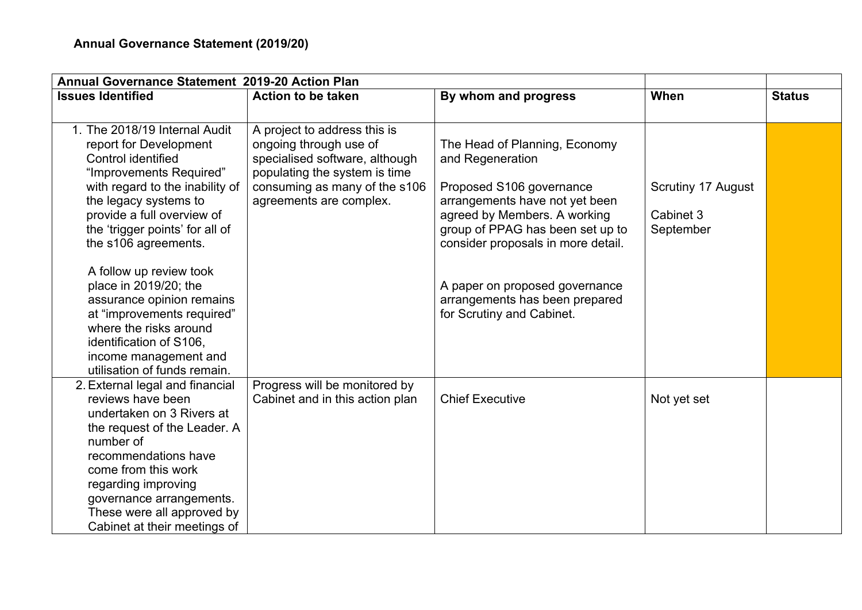| <b>Annual Governance Statement 2019-20 Action Plan</b>                                                                                                                                                                                                                                                                                                                       |                                                                                                                                                                                       |                                                                                                                                                                                                                                                                                                                            |                                              |               |  |
|------------------------------------------------------------------------------------------------------------------------------------------------------------------------------------------------------------------------------------------------------------------------------------------------------------------------------------------------------------------------------|---------------------------------------------------------------------------------------------------------------------------------------------------------------------------------------|----------------------------------------------------------------------------------------------------------------------------------------------------------------------------------------------------------------------------------------------------------------------------------------------------------------------------|----------------------------------------------|---------------|--|
| <b>Issues Identified</b>                                                                                                                                                                                                                                                                                                                                                     | <b>Action to be taken</b>                                                                                                                                                             | By whom and progress                                                                                                                                                                                                                                                                                                       | When                                         | <b>Status</b> |  |
|                                                                                                                                                                                                                                                                                                                                                                              |                                                                                                                                                                                       |                                                                                                                                                                                                                                                                                                                            |                                              |               |  |
| 1. The 2018/19 Internal Audit<br>report for Development<br>Control identified<br>"Improvements Required"<br>with regard to the inability of<br>the legacy systems to<br>provide a full overview of<br>the 'trigger points' for all of<br>the s106 agreements.<br>A follow up review took<br>place in 2019/20; the<br>assurance opinion remains<br>at "improvements required" | A project to address this is<br>ongoing through use of<br>specialised software, although<br>populating the system is time<br>consuming as many of the s106<br>agreements are complex. | The Head of Planning, Economy<br>and Regeneration<br>Proposed S106 governance<br>arrangements have not yet been<br>agreed by Members. A working<br>group of PPAG has been set up to<br>consider proposals in more detail.<br>A paper on proposed governance<br>arrangements has been prepared<br>for Scrutiny and Cabinet. | Scrutiny 17 August<br>Cabinet 3<br>September |               |  |
| where the risks around<br>identification of S106,<br>income management and<br>utilisation of funds remain.                                                                                                                                                                                                                                                                   |                                                                                                                                                                                       |                                                                                                                                                                                                                                                                                                                            |                                              |               |  |
| 2. External legal and financial<br>reviews have been<br>undertaken on 3 Rivers at<br>the request of the Leader. A<br>number of<br>recommendations have<br>come from this work<br>regarding improving<br>governance arrangements.<br>These were all approved by<br>Cabinet at their meetings of                                                                               | Progress will be monitored by<br>Cabinet and in this action plan                                                                                                                      | <b>Chief Executive</b>                                                                                                                                                                                                                                                                                                     | Not yet set                                  |               |  |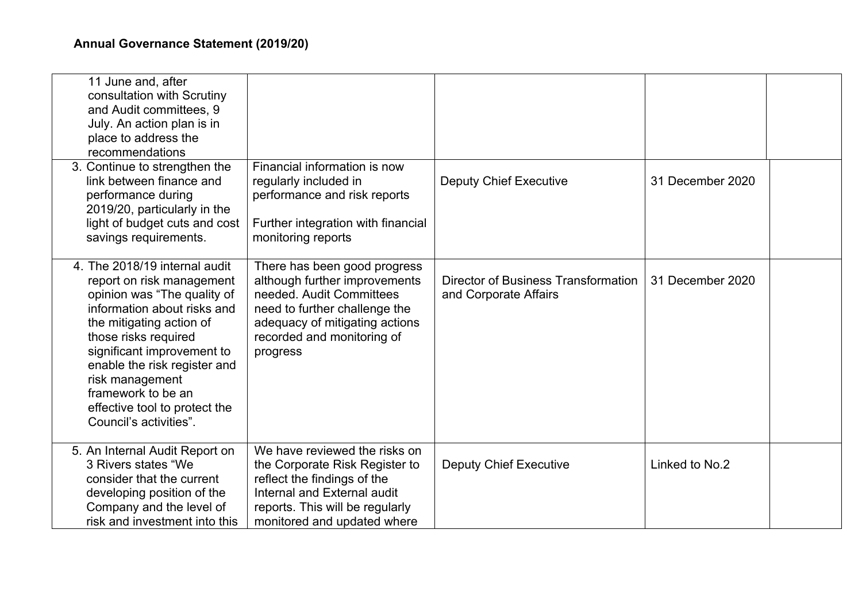| 11 June and, after<br>consultation with Scrutiny<br>and Audit committees, 9<br>July. An action plan is in<br>place to address the<br>recommendations                                                                                                                                                                                           |                                                                                                                                                                                                        |                                                              |                  |  |
|------------------------------------------------------------------------------------------------------------------------------------------------------------------------------------------------------------------------------------------------------------------------------------------------------------------------------------------------|--------------------------------------------------------------------------------------------------------------------------------------------------------------------------------------------------------|--------------------------------------------------------------|------------------|--|
| 3. Continue to strengthen the<br>link between finance and<br>performance during<br>2019/20, particularly in the<br>light of budget cuts and cost<br>savings requirements.                                                                                                                                                                      | Financial information is now<br>regularly included in<br>performance and risk reports<br>Further integration with financial<br>monitoring reports                                                      | <b>Deputy Chief Executive</b>                                | 31 December 2020 |  |
| 4. The 2018/19 internal audit<br>report on risk management<br>opinion was "The quality of<br>information about risks and<br>the mitigating action of<br>those risks required<br>significant improvement to<br>enable the risk register and<br>risk management<br>framework to be an<br>effective tool to protect the<br>Council's activities". | There has been good progress<br>although further improvements<br>needed. Audit Committees<br>need to further challenge the<br>adequacy of mitigating actions<br>recorded and monitoring of<br>progress | Director of Business Transformation<br>and Corporate Affairs | 31 December 2020 |  |
| 5. An Internal Audit Report on<br>3 Rivers states "We<br>consider that the current<br>developing position of the<br>Company and the level of<br>risk and investment into this                                                                                                                                                                  | We have reviewed the risks on<br>the Corporate Risk Register to<br>reflect the findings of the<br>Internal and External audit<br>reports. This will be regularly<br>monitored and updated where        | <b>Deputy Chief Executive</b>                                | Linked to No.2   |  |